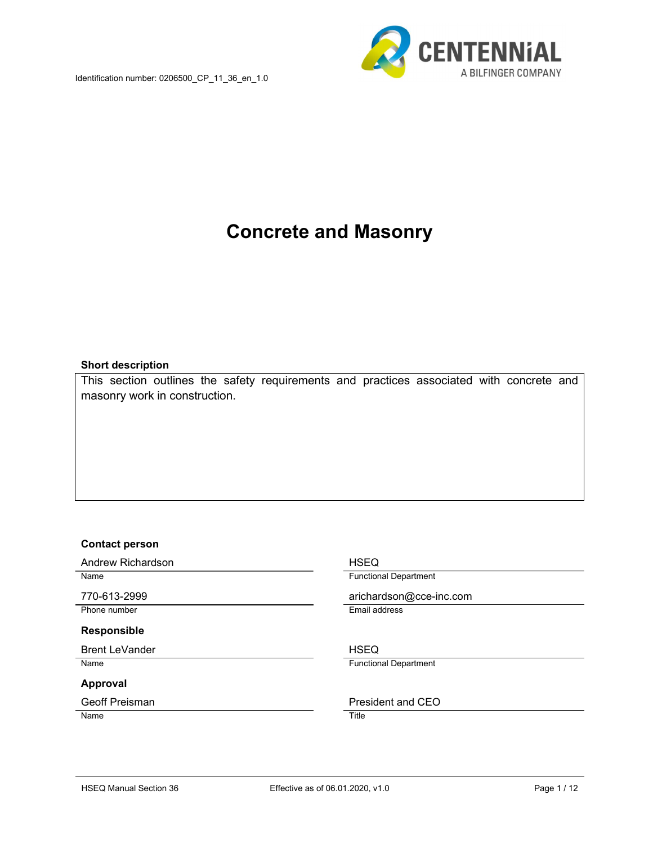

# Concrete and Masonry

#### Short description

This section outlines the safety requirements and practices associated with concrete and masonry work in construction.

#### Contact person

Andrew Richardson **HSEQ** 

Phone number **Email address** 

#### Responsible

Brent LeVander NSEQ

#### Approval

Name Title

Name **Functional Department** 

770-613-2999 arichardson@cce-inc.com

Name Functional Department

Geoff Preisman **President** and CEO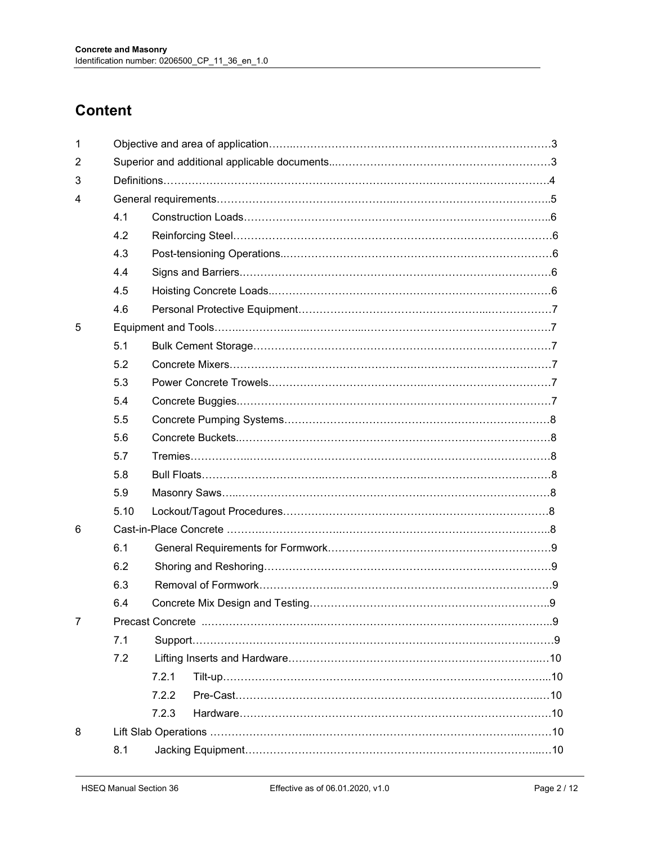# **Content**

| $\mathbf{1}$   |      |       |  |  |  |  |
|----------------|------|-------|--|--|--|--|
| 2              |      |       |  |  |  |  |
| 3              |      |       |  |  |  |  |
| 4              |      |       |  |  |  |  |
|                | 4.1  |       |  |  |  |  |
|                | 4.2  |       |  |  |  |  |
|                | 4.3  |       |  |  |  |  |
|                | 4.4  |       |  |  |  |  |
|                | 4.5  |       |  |  |  |  |
|                | 4.6  |       |  |  |  |  |
| 5              |      |       |  |  |  |  |
|                | 5.1  |       |  |  |  |  |
|                | 5.2  |       |  |  |  |  |
|                | 5.3  |       |  |  |  |  |
|                | 5.4  |       |  |  |  |  |
|                | 5.5  |       |  |  |  |  |
|                | 5.6  |       |  |  |  |  |
|                | 5.7  |       |  |  |  |  |
|                | 5.8  |       |  |  |  |  |
|                | 5.9  |       |  |  |  |  |
|                | 5.10 |       |  |  |  |  |
| 6              |      |       |  |  |  |  |
|                | 6.1  |       |  |  |  |  |
|                | 6.2  |       |  |  |  |  |
|                | 6.3  |       |  |  |  |  |
|                | 6.4  |       |  |  |  |  |
| $\overline{7}$ |      |       |  |  |  |  |
|                | 7.1  |       |  |  |  |  |
|                | 7.2  |       |  |  |  |  |
|                |      | 7.2.1 |  |  |  |  |
|                |      | 7.2.2 |  |  |  |  |
|                |      | 7.2.3 |  |  |  |  |
| 8              |      |       |  |  |  |  |
|                | 8.1  |       |  |  |  |  |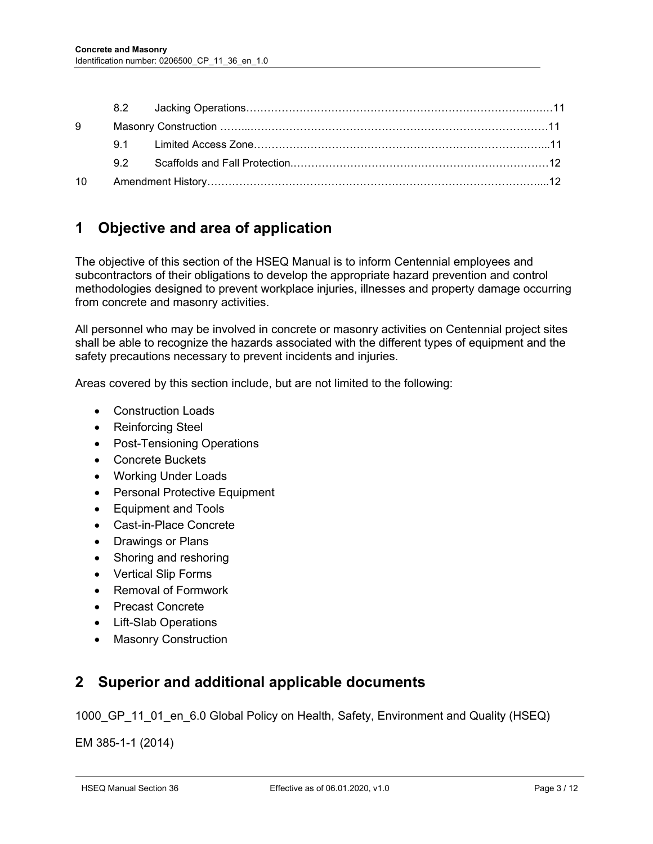| 9  |                                                       |  |  |
|----|-------------------------------------------------------|--|--|
|    |                                                       |  |  |
|    |                                                       |  |  |
| 10 | Amendment History…………………………………………………………………………………………12 |  |  |

# 1 Objective and area of application

The objective of this section of the HSEQ Manual is to inform Centennial employees and subcontractors of their obligations to develop the appropriate hazard prevention and control methodologies designed to prevent workplace injuries, illnesses and property damage occurring from concrete and masonry activities.

All personnel who may be involved in concrete or masonry activities on Centennial project sites shall be able to recognize the hazards associated with the different types of equipment and the safety precautions necessary to prevent incidents and injuries.

Areas covered by this section include, but are not limited to the following:

- Construction Loads
- Reinforcing Steel
- Post-Tensioning Operations
- Concrete Buckets
- Working Under Loads
- Personal Protective Equipment
- Equipment and Tools
- Cast-in-Place Concrete
- Drawings or Plans
- Shoring and reshoring
- Vertical Slip Forms
- Removal of Formwork
- Precast Concrete
- Lift-Slab Operations
- Masonry Construction

# 2 Superior and additional applicable documents

1000 GP 11 01 en 6.0 Global Policy on Health, Safety, Environment and Quality (HSEQ)

EM 385-1-1 (2014)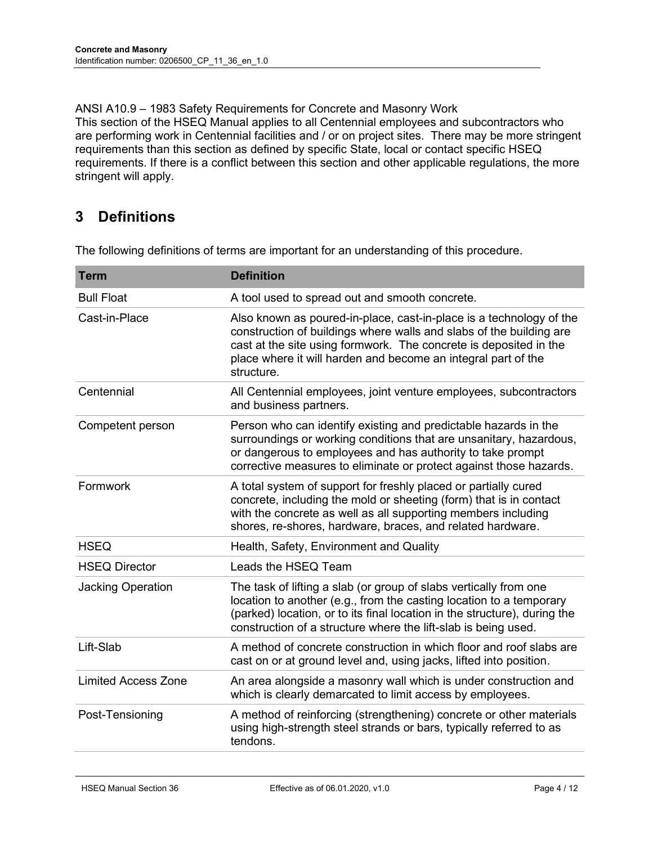ANSI A10.9 – 1983 Safety Requirements for Concrete and Masonry Work This section of the HSEQ Manual applies to all Centennial employees and subcontractors who are performing work in Centennial facilities and / or on project sites. There may be more stringent requirements than this section as defined by specific State, local or contact specific HSEQ requirements. If there is a conflict between this section and other applicable regulations, the more stringent will apply.

# 3 Definitions

The following definitions of terms are important for an understanding of this procedure.

| Term                       | <b>Definition</b>                                                                                                                                                                                                                                                                              |
|----------------------------|------------------------------------------------------------------------------------------------------------------------------------------------------------------------------------------------------------------------------------------------------------------------------------------------|
| <b>Bull Float</b>          | A tool used to spread out and smooth concrete.                                                                                                                                                                                                                                                 |
| Cast-in-Place              | Also known as poured-in-place, cast-in-place is a technology of the<br>construction of buildings where walls and slabs of the building are<br>cast at the site using formwork. The concrete is deposited in the<br>place where it will harden and become an integral part of the<br>structure. |
| Centennial                 | All Centennial employees, joint venture employees, subcontractors<br>and business partners.                                                                                                                                                                                                    |
| Competent person           | Person who can identify existing and predictable hazards in the<br>surroundings or working conditions that are unsanitary, hazardous,<br>or dangerous to employees and has authority to take prompt<br>corrective measures to eliminate or protect against those hazards.                      |
| Formwork                   | A total system of support for freshly placed or partially cured<br>concrete, including the mold or sheeting (form) that is in contact<br>with the concrete as well as all supporting members including<br>shores, re-shores, hardware, braces, and related hardware.                           |
| <b>HSEQ</b>                | Health, Safety, Environment and Quality                                                                                                                                                                                                                                                        |
| <b>HSEQ Director</b>       | Leads the HSEQ Team                                                                                                                                                                                                                                                                            |
| <b>Jacking Operation</b>   | The task of lifting a slab (or group of slabs vertically from one<br>location to another (e.g., from the casting location to a temporary<br>(parked) location, or to its final location in the structure), during the<br>construction of a structure where the lift-slab is being used.        |
| Lift-Slab                  | A method of concrete construction in which floor and roof slabs are<br>cast on or at ground level and, using jacks, lifted into position.                                                                                                                                                      |
| <b>Limited Access Zone</b> | An area alongside a masonry wall which is under construction and<br>which is clearly demarcated to limit access by employees.                                                                                                                                                                  |
| Post-Tensioning            | A method of reinforcing (strengthening) concrete or other materials<br>using high-strength steel strands or bars, typically referred to as<br>tendons.                                                                                                                                         |
|                            |                                                                                                                                                                                                                                                                                                |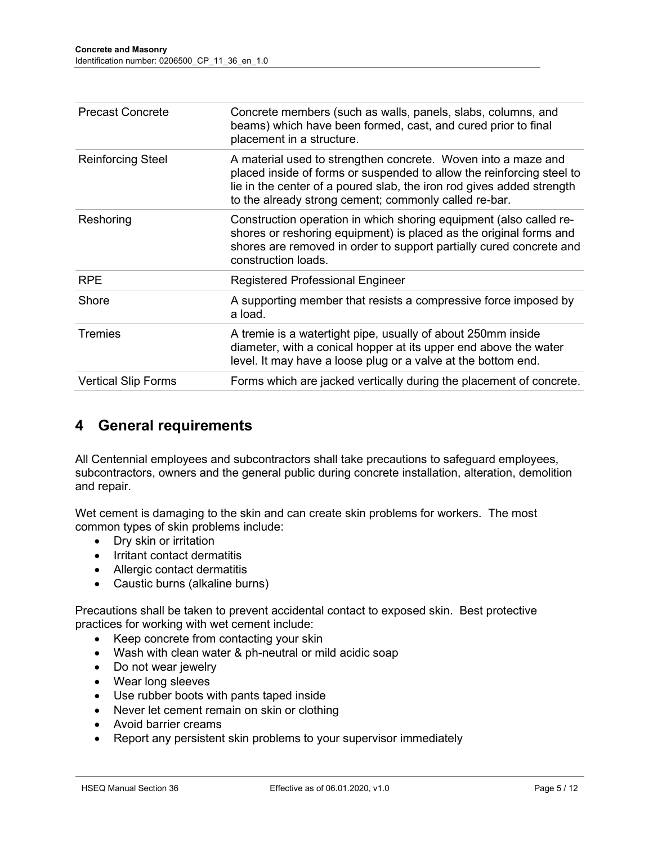| <b>Precast Concrete</b>    | Concrete members (such as walls, panels, slabs, columns, and<br>beams) which have been formed, cast, and cured prior to final<br>placement in a structure.                                                                                                               |
|----------------------------|--------------------------------------------------------------------------------------------------------------------------------------------------------------------------------------------------------------------------------------------------------------------------|
| <b>Reinforcing Steel</b>   | A material used to strengthen concrete. Woven into a maze and<br>placed inside of forms or suspended to allow the reinforcing steel to<br>lie in the center of a poured slab, the iron rod gives added strength<br>to the already strong cement; commonly called re-bar. |
| Reshoring                  | Construction operation in which shoring equipment (also called re-<br>shores or reshoring equipment) is placed as the original forms and<br>shores are removed in order to support partially cured concrete and<br>construction loads.                                   |
| <b>RPE</b>                 | <b>Registered Professional Engineer</b>                                                                                                                                                                                                                                  |
| Shore                      | A supporting member that resists a compressive force imposed by<br>a load.                                                                                                                                                                                               |
| <b>Tremies</b>             | A tremie is a watertight pipe, usually of about 250mm inside<br>diameter, with a conical hopper at its upper end above the water<br>level. It may have a loose plug or a valve at the bottom end.                                                                        |
| <b>Vertical Slip Forms</b> | Forms which are jacked vertically during the placement of concrete.                                                                                                                                                                                                      |

# 4 General requirements

All Centennial employees and subcontractors shall take precautions to safeguard employees, subcontractors, owners and the general public during concrete installation, alteration, demolition and repair.

Wet cement is damaging to the skin and can create skin problems for workers. The most common types of skin problems include:

- Dry skin or irritation
- Irritant contact dermatitis
- Allergic contact dermatitis
- Caustic burns (alkaline burns)

Precautions shall be taken to prevent accidental contact to exposed skin. Best protective practices for working with wet cement include:

- Keep concrete from contacting your skin
- Wash with clean water & ph-neutral or mild acidic soap
- Do not wear jewelry
- Wear long sleeves
- Use rubber boots with pants taped inside
- Never let cement remain on skin or clothing
- Avoid barrier creams
- Report any persistent skin problems to your supervisor immediately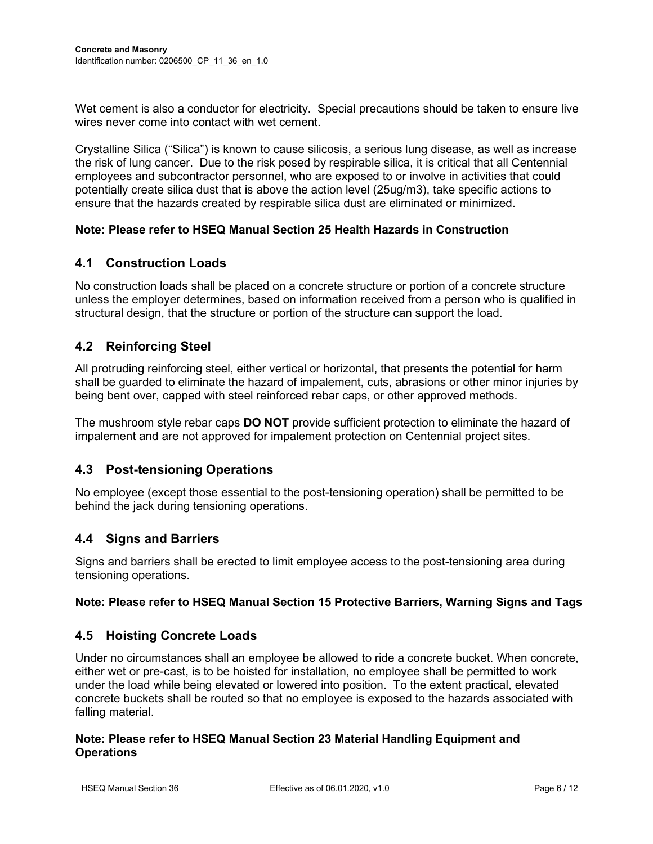Wet cement is also a conductor for electricity. Special precautions should be taken to ensure live wires never come into contact with wet cement.

Crystalline Silica ("Silica") is known to cause silicosis, a serious lung disease, as well as increase the risk of lung cancer. Due to the risk posed by respirable silica, it is critical that all Centennial employees and subcontractor personnel, who are exposed to or involve in activities that could potentially create silica dust that is above the action level (25ug/m3), take specific actions to ensure that the hazards created by respirable silica dust are eliminated or minimized.

#### Note: Please refer to HSEQ Manual Section 25 Health Hazards in Construction

#### 4.1 Construction Loads

No construction loads shall be placed on a concrete structure or portion of a concrete structure unless the employer determines, based on information received from a person who is qualified in structural design, that the structure or portion of the structure can support the load.

#### 4.2 Reinforcing Steel

All protruding reinforcing steel, either vertical or horizontal, that presents the potential for harm shall be guarded to eliminate the hazard of impalement, cuts, abrasions or other minor injuries by being bent over, capped with steel reinforced rebar caps, or other approved methods.

The mushroom style rebar caps **DO NOT** provide sufficient protection to eliminate the hazard of impalement and are not approved for impalement protection on Centennial project sites.

#### 4.3 Post-tensioning Operations

No employee (except those essential to the post-tensioning operation) shall be permitted to be behind the jack during tensioning operations.

#### 4.4 Signs and Barriers

Signs and barriers shall be erected to limit employee access to the post-tensioning area during tensioning operations.

#### Note: Please refer to HSEQ Manual Section 15 Protective Barriers, Warning Signs and Tags

#### 4.5 Hoisting Concrete Loads

Under no circumstances shall an employee be allowed to ride a concrete bucket. When concrete, either wet or pre-cast, is to be hoisted for installation, no employee shall be permitted to work under the load while being elevated or lowered into position. To the extent practical, elevated concrete buckets shall be routed so that no employee is exposed to the hazards associated with falling material.

#### Note: Please refer to HSEQ Manual Section 23 Material Handling Equipment and **Operations**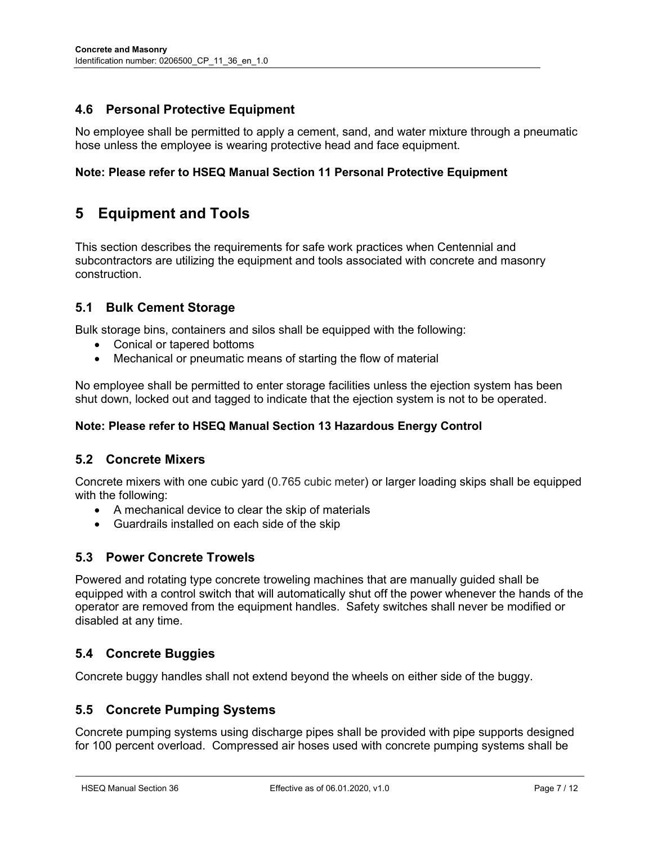## 4.6 Personal Protective Equipment

No employee shall be permitted to apply a cement, sand, and water mixture through a pneumatic hose unless the employee is wearing protective head and face equipment.

#### Note: Please refer to HSEQ Manual Section 11 Personal Protective Equipment

# 5 Equipment and Tools

This section describes the requirements for safe work practices when Centennial and subcontractors are utilizing the equipment and tools associated with concrete and masonry construction.

#### 5.1 Bulk Cement Storage

Bulk storage bins, containers and silos shall be equipped with the following:

- Conical or tapered bottoms
- Mechanical or pneumatic means of starting the flow of material

No employee shall be permitted to enter storage facilities unless the ejection system has been shut down, locked out and tagged to indicate that the ejection system is not to be operated.

#### Note: Please refer to HSEQ Manual Section 13 Hazardous Energy Control

#### 5.2 Concrete Mixers

Concrete mixers with one cubic yard (0.765 cubic meter) or larger loading skips shall be equipped with the following:

- A mechanical device to clear the skip of materials
- Guardrails installed on each side of the skip

#### 5.3 Power Concrete Trowels

Powered and rotating type concrete troweling machines that are manually guided shall be equipped with a control switch that will automatically shut off the power whenever the hands of the operator are removed from the equipment handles. Safety switches shall never be modified or disabled at any time.

#### 5.4 Concrete Buggies

Concrete buggy handles shall not extend beyond the wheels on either side of the buggy.

#### 5.5 Concrete Pumping Systems

Concrete pumping systems using discharge pipes shall be provided with pipe supports designed for 100 percent overload. Compressed air hoses used with concrete pumping systems shall be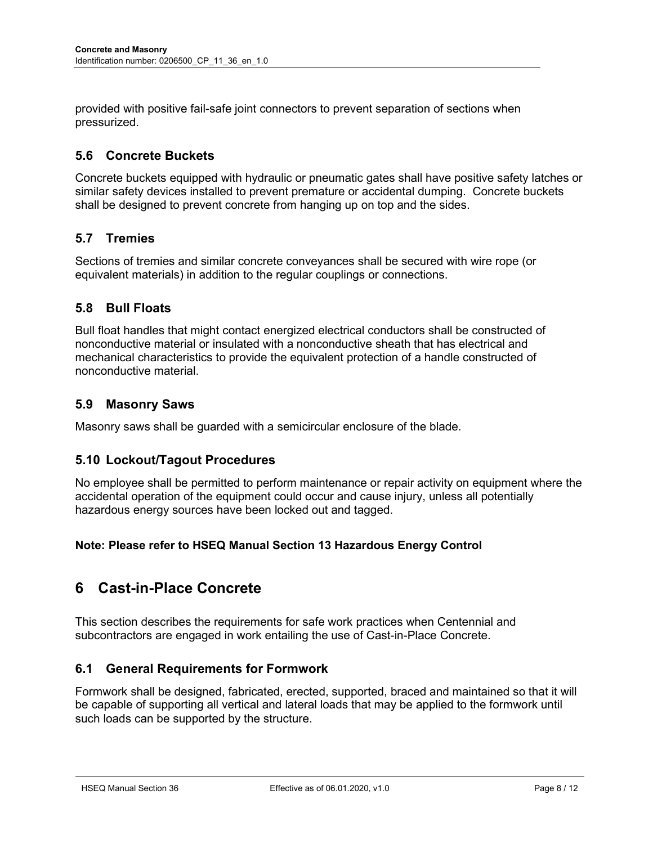provided with positive fail-safe joint connectors to prevent separation of sections when pressurized.

#### 5.6 Concrete Buckets

Concrete buckets equipped with hydraulic or pneumatic gates shall have positive safety latches or similar safety devices installed to prevent premature or accidental dumping. Concrete buckets shall be designed to prevent concrete from hanging up on top and the sides.

#### 5.7 Tremies

Sections of tremies and similar concrete conveyances shall be secured with wire rope (or equivalent materials) in addition to the regular couplings or connections.

#### 5.8 Bull Floats

Bull float handles that might contact energized electrical conductors shall be constructed of nonconductive material or insulated with a nonconductive sheath that has electrical and mechanical characteristics to provide the equivalent protection of a handle constructed of nonconductive material.

#### 5.9 Masonry Saws

Masonry saws shall be guarded with a semicircular enclosure of the blade.

#### 5.10 Lockout/Tagout Procedures

No employee shall be permitted to perform maintenance or repair activity on equipment where the accidental operation of the equipment could occur and cause injury, unless all potentially hazardous energy sources have been locked out and tagged.

Note: Please refer to HSEQ Manual Section 13 Hazardous Energy Control

# 6 Cast-in-Place Concrete

This section describes the requirements for safe work practices when Centennial and subcontractors are engaged in work entailing the use of Cast-in-Place Concrete.

#### 6.1 General Requirements for Formwork

Formwork shall be designed, fabricated, erected, supported, braced and maintained so that it will be capable of supporting all vertical and lateral loads that may be applied to the formwork until such loads can be supported by the structure.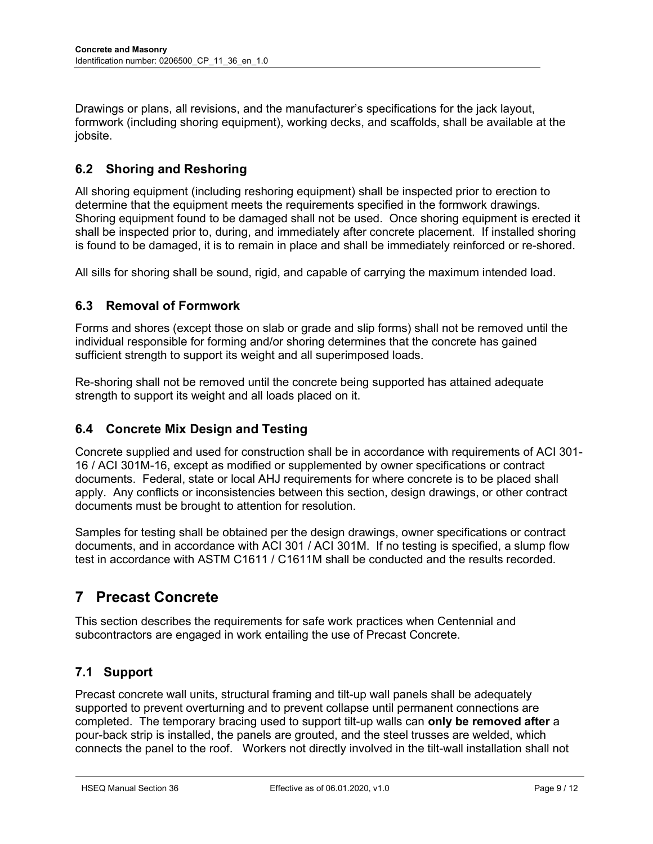Drawings or plans, all revisions, and the manufacturer's specifications for the jack layout, formwork (including shoring equipment), working decks, and scaffolds, shall be available at the jobsite.

## 6.2 Shoring and Reshoring

All shoring equipment (including reshoring equipment) shall be inspected prior to erection to determine that the equipment meets the requirements specified in the formwork drawings. Shoring equipment found to be damaged shall not be used. Once shoring equipment is erected it shall be inspected prior to, during, and immediately after concrete placement. If installed shoring is found to be damaged, it is to remain in place and shall be immediately reinforced or re-shored.

All sills for shoring shall be sound, rigid, and capable of carrying the maximum intended load.

## 6.3 Removal of Formwork

Forms and shores (except those on slab or grade and slip forms) shall not be removed until the individual responsible for forming and/or shoring determines that the concrete has gained sufficient strength to support its weight and all superimposed loads.

Re-shoring shall not be removed until the concrete being supported has attained adequate strength to support its weight and all loads placed on it.

## 6.4 Concrete Mix Design and Testing

Concrete supplied and used for construction shall be in accordance with requirements of ACI 301- 16 / ACI 301M-16, except as modified or supplemented by owner specifications or contract documents. Federal, state or local AHJ requirements for where concrete is to be placed shall apply. Any conflicts or inconsistencies between this section, design drawings, or other contract documents must be brought to attention for resolution.

Samples for testing shall be obtained per the design drawings, owner specifications or contract documents, and in accordance with ACI 301 / ACI 301M. If no testing is specified, a slump flow test in accordance with ASTM C1611 / C1611M shall be conducted and the results recorded.

# 7 Precast Concrete

This section describes the requirements for safe work practices when Centennial and subcontractors are engaged in work entailing the use of Precast Concrete.

## 7.1 Support

Precast concrete wall units, structural framing and tilt-up wall panels shall be adequately supported to prevent overturning and to prevent collapse until permanent connections are completed. The temporary bracing used to support tilt-up walls can only be removed after a pour-back strip is installed, the panels are grouted, and the steel trusses are welded, which connects the panel to the roof. Workers not directly involved in the tilt-wall installation shall not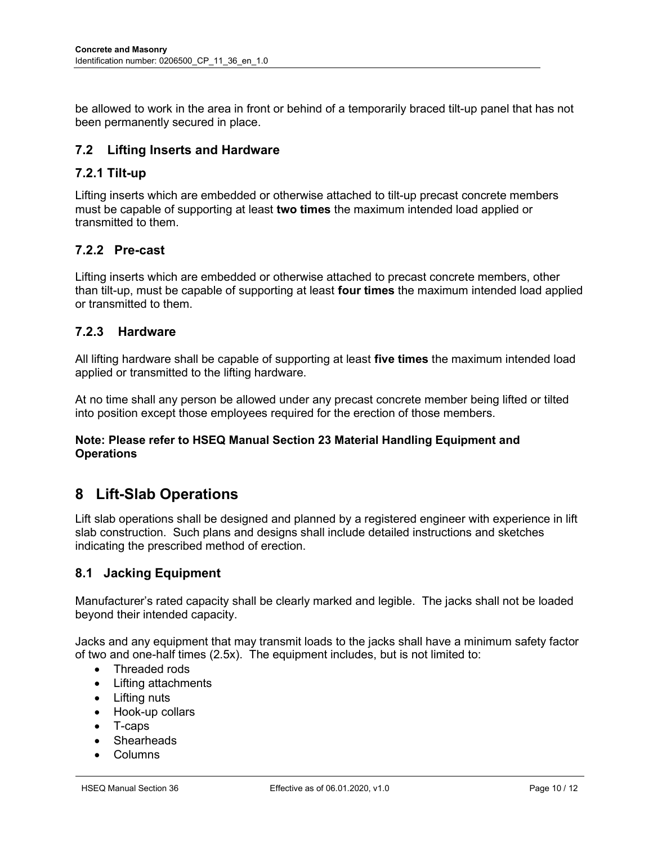be allowed to work in the area in front or behind of a temporarily braced tilt-up panel that has not been permanently secured in place.

#### 7.2 Lifting Inserts and Hardware

#### 7.2.1 Tilt-up

Lifting inserts which are embedded or otherwise attached to tilt-up precast concrete members must be capable of supporting at least two times the maximum intended load applied or transmitted to them.

#### 7.2.2 Pre-cast

Lifting inserts which are embedded or otherwise attached to precast concrete members, other than tilt-up, must be capable of supporting at least four times the maximum intended load applied or transmitted to them.

#### 7.2.3 Hardware

All lifting hardware shall be capable of supporting at least five times the maximum intended load applied or transmitted to the lifting hardware.

At no time shall any person be allowed under any precast concrete member being lifted or tilted into position except those employees required for the erection of those members.

#### Note: Please refer to HSEQ Manual Section 23 Material Handling Equipment and **Operations**

## 8 Lift-Slab Operations

Lift slab operations shall be designed and planned by a registered engineer with experience in lift slab construction. Such plans and designs shall include detailed instructions and sketches indicating the prescribed method of erection.

#### 8.1 Jacking Equipment

Manufacturer's rated capacity shall be clearly marked and legible. The jacks shall not be loaded beyond their intended capacity.

Jacks and any equipment that may transmit loads to the jacks shall have a minimum safety factor of two and one-half times (2.5x). The equipment includes, but is not limited to:

- Threaded rods
- Lifting attachments
- Lifting nuts
- Hook-up collars
- T-caps
- Shearheads
- Columns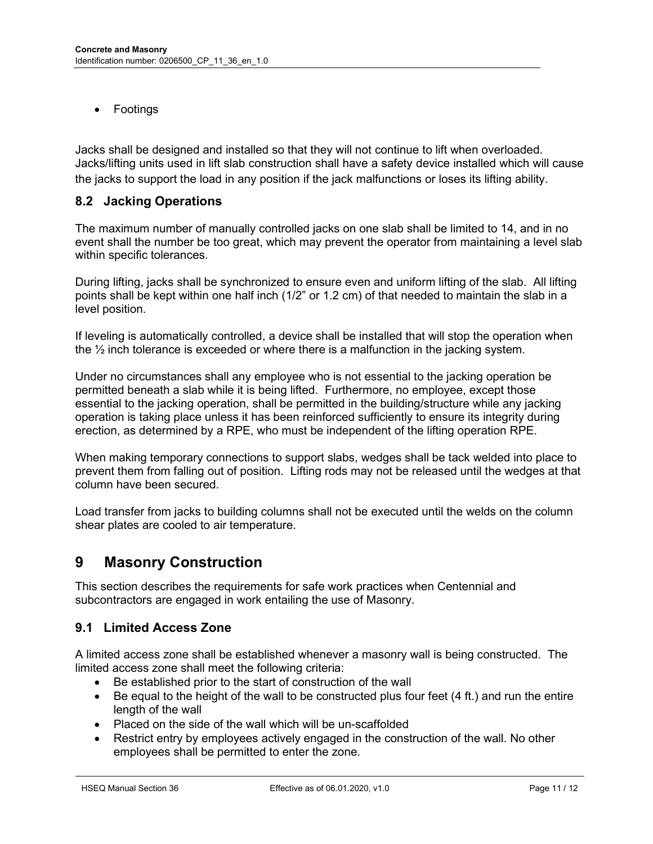Footings

Jacks shall be designed and installed so that they will not continue to lift when overloaded. Jacks/lifting units used in lift slab construction shall have a safety device installed which will cause the jacks to support the load in any position if the jack malfunctions or loses its lifting ability.

#### 8.2 Jacking Operations

The maximum number of manually controlled jacks on one slab shall be limited to 14, and in no event shall the number be too great, which may prevent the operator from maintaining a level slab within specific tolerances.

During lifting, jacks shall be synchronized to ensure even and uniform lifting of the slab. All lifting points shall be kept within one half inch (1/2" or 1.2 cm) of that needed to maintain the slab in a level position.

If leveling is automatically controlled, a device shall be installed that will stop the operation when the  $\frac{1}{2}$  inch tolerance is exceeded or where there is a malfunction in the jacking system.

Under no circumstances shall any employee who is not essential to the jacking operation be permitted beneath a slab while it is being lifted. Furthermore, no employee, except those essential to the jacking operation, shall be permitted in the building/structure while any jacking operation is taking place unless it has been reinforced sufficiently to ensure its integrity during erection, as determined by a RPE, who must be independent of the lifting operation RPE.

When making temporary connections to support slabs, wedges shall be tack welded into place to prevent them from falling out of position. Lifting rods may not be released until the wedges at that column have been secured.

Load transfer from jacks to building columns shall not be executed until the welds on the column shear plates are cooled to air temperature.

# 9 Masonry Construction

This section describes the requirements for safe work practices when Centennial and subcontractors are engaged in work entailing the use of Masonry.

#### 9.1 Limited Access Zone

A limited access zone shall be established whenever a masonry wall is being constructed. The limited access zone shall meet the following criteria:

- Be established prior to the start of construction of the wall
- $\bullet$  Be equal to the height of the wall to be constructed plus four feet (4 ft.) and run the entire length of the wall
- Placed on the side of the wall which will be un-scaffolded
- Restrict entry by employees actively engaged in the construction of the wall. No other employees shall be permitted to enter the zone.